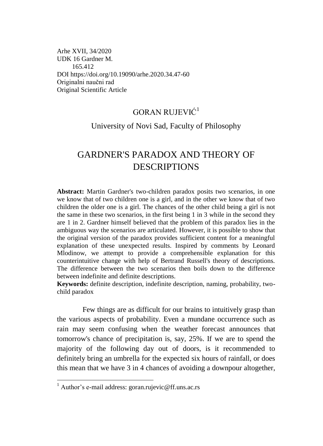Arhe XVII, 34/2020 UDK 16 Gardner M. 165.412 DOI https://doi.org/10.19090/arhe.2020.3[4.47-](#page-0-0)[60](#page-13-0)  Originalni naučni rad Original Scientific Article

## GORAN RUJEVIĆ<sup>1</sup>

### <span id="page-0-0"></span>University of Novi Sad, Faculty of Philosophy

# GARDNER'S PARADOX AND THEORY OF DESCRIPTIONS

**Abstract:** Martin Gardner's two-children paradox posits two scenarios, in one we know that of two children one is a girl, and in the other we know that of two children the older one is a girl. The chances of the other child being a girl is not the same in these two scenarios, in the first being 1 in 3 while in the second they are 1 in 2. Gardner himself believed that the problem of this paradox lies in the ambiguous way the scenarios are articulated. However, it is possible to show that the original version of the paradox provides sufficient content for a meaningful explanation of these unexpected results. Inspired by comments by Leonard Mlodinow, we attempt to provide a comprehensible explanation for this counterintuitive change with help of Bertrand Russell's theory of descriptions. The difference between the two scenarios then boils down to the difference between indefinite and definite descriptions.

**Keywords:** definite description, indefinite description, naming, probability, twochild paradox

Few things are as difficult for our brains to intuitively grasp than the various aspects of probability. Even a mundane occurrence such as rain may seem confusing when the weather forecast announces that tomorrow's chance of precipitation is, say, 25%. If we are to spend the majority of the following day out of doors, is it recommended to definitely bring an umbrella for the expected six hours of rainfall, or does this mean that we have 3 in 4 chances of avoiding a downpour altogether,

 $\overline{a}$ 

 $<sup>1</sup>$  Author's e-mail address: goran.rujevic@ff.uns.ac.rs</sup>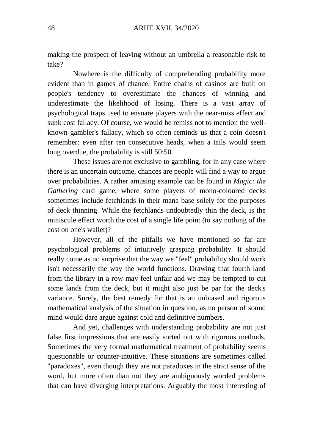making the prospect of leaving without an umbrella a reasonable risk to take?

Nowhere is the difficulty of comprehending probability more evident than in games of chance. Entire chains of casinos are built on people's tendency to overestimate the chances of winning and underestimate the likelihood of losing. There is a vast array of psychological traps used to ensnare players with the near-miss effect and sunk cost fallacy. Of course, we would be remiss not to mention the wellknown gambler's fallacy, which so often reminds us that a coin doesn't remember: even after ten consecutive heads, when a tails would seem long overdue, the probability is still 50:50.

These issues are not exclusive to gambling, for in any case where there is an uncertain outcome, chances are people will find a way to argue over probabilities. A rather amusing example can be found in *Magic: the Gathering* card game, where some players of mono-coloured decks sometimes include fetchlands in their mana base solely for the purposes of deck thinning. While the fetchlands undoubtedly thin the deck, is the miniscule effect worth the cost of a single life point (to say nothing of the cost on one's wallet)?

However, all of the pitfalls we have mentioned so far are psychological problems of intuitively grasping probability. It should really come as no surprise that the way we "feel" probability should work isn't necessarily the way the world functions. Drawing that fourth land from the library in a row may feel unfair and we may be tempted to cut some lands from the deck, but it might also just be par for the deck's variance. Surely, the best remedy for that is an unbiased and rigorous mathematical analysis of the situation in question, as no person of sound mind would dare argue against cold and definitive numbers.

And yet, challenges with understanding probability are not just false first impressions that are easily sorted out with rigorous methods. Sometimes the very formal mathematical treatment of probability seems questionable or counter-intuitive. These situations are sometimes called "paradoxes", even though they are not paradoxes in the strict sense of the word, but more often than not they are ambiguously worded problems that can have diverging interpretations. Arguably the most interesting of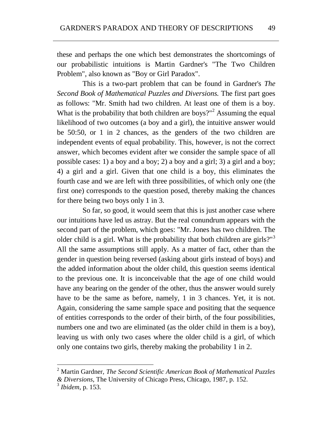these and perhaps the one which best demonstrates the shortcomings of our probabilistic intuitions is Martin Gardner's "The Two Children Problem", also known as "Boy or Girl Paradox".

This is a two-part problem that can be found in Gardner's *The Second Book of Mathematical Puzzles and Diversions.* The first part goes as follows: "Mr. Smith had two children. At least one of them is a boy. What is the probability that both children are boys?"<sup>2</sup> Assuming the equal likelihood of two outcomes (a boy and a girl), the intuitive answer would be 50:50, or 1 in 2 chances, as the genders of the two children are independent events of equal probability. This, however, is not the correct answer, which becomes evident after we consider the sample space of all possible cases: 1) a boy and a boy; 2) a boy and a girl; 3) a girl and a boy; 4) a girl and a girl. Given that one child is a boy, this eliminates the fourth case and we are left with three possibilities, of which only one (the first one) corresponds to the question posed, thereby making the chances for there being two boys only 1 in 3.

So far, so good, it would seem that this is just another case where our intuitions have led us astray. But the real conundrum appears with the second part of the problem, which goes: "Mr. Jones has two children. The older child is a girl. What is the probability that both children are girls?" $3$ All the same assumptions still apply. As a matter of fact, other than the gender in question being reversed (asking about girls instead of boys) and the added information about the older child, this question seems identical to the previous one. It is inconceivable that the age of one child would have any bearing on the gender of the other, thus the answer would surely have to be the same as before, namely, 1 in 3 chances. Yet, it is not. Again, considering the same sample space and positing that the sequence of entities corresponds to the order of their birth, of the four possibilities, numbers one and two are eliminated (as the older child in them is a boy), leaving us with only two cases where the older child is a girl, of which only one contains two girls, thereby making the probability 1 in 2.

 2 Martin Gardner, *The Second Scientific American Book of Mathematical Puzzles & Diversions*, The University of Chicago Press, Chicago, 1987, p. 152.

<sup>3</sup>  *Ibidem*, p. 153.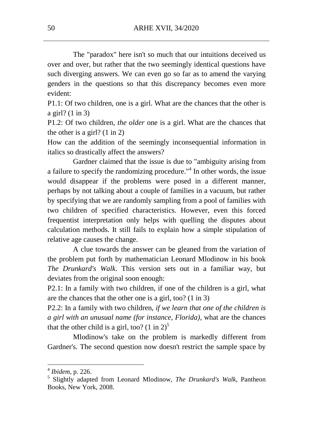The "paradox" here isn't so much that our intuitions deceived us over and over, but rather that the two seemingly identical questions have such diverging answers. We can even go so far as to amend the varying genders in the questions so that this discrepancy becomes even more evident:

P1.1: Of two children, one is a girl. What are the chances that the other is a girl? (1 in 3)

P1.2: Of two children, *the older* one is a girl. What are the chances that the other is a girl? (1 in 2)

How can the addition of the seemingly inconsequential information in italics so drastically affect the answers?

Gardner claimed that the issue is due to "ambiguity arising from a failure to specify the randomizing procedure."<sup>4</sup> In other words, the issue would disappear if the problems were posed in a different manner, perhaps by not talking about a couple of families in a vacuum, but rather by specifying that we are randomly sampling from a pool of families with two children of specified characteristics. However, even this forced frequentist interpretation only helps with quelling the disputes about calculation methods. It still fails to explain how a simple stipulation of relative age causes the change.

A clue towards the answer can be gleaned from the variation of the problem put forth by mathematician Leonard Mlodinow in his book *The Drunkard's Walk*. This version sets out in a familiar way, but deviates from the original soon enough:

P2.1: In a family with two children, if one of the children is a girl, what are the chances that the other one is a girl, too? (1 in 3)

P2.2: In a family with two children, *if we learn that one of the children is a girl with an unusual name (for instance, Florida)*, what are the chances that the other child is a girl, too?  $(1 \text{ in } 2)^5$ 

Mlodinow's take on the problem is markedly different from Gardner's. The second question now doesn't restrict the sample space by

 $\overline{\phantom{a}}$ 

<sup>4</sup>  *Ibidem*, p. 226.

<sup>5</sup> Slightly adapted from Leonard Mlodinow, *The Drunkard's Walk*, Pantheon Books, New York, 2008.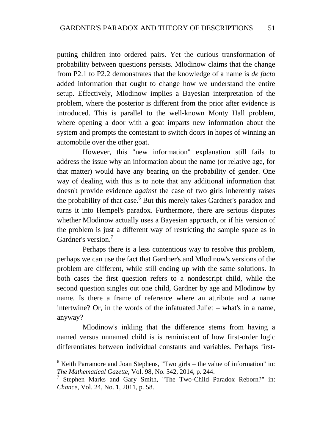putting children into ordered pairs. Yet the curious transformation of probability between questions persists. Mlodinow claims that the change from P2.1 to P2.2 demonstrates that the knowledge of a name is *de facto*  added information that ought to change how we understand the entire setup. Effectively, Mlodinow implies a Bayesian interpretation of the problem, where the posterior is different from the prior after evidence is introduced. This is parallel to the well-known Monty Hall problem, where opening a door with a goat imparts new information about the system and prompts the contestant to switch doors in hopes of winning an automobile over the other goat.

However, this "new information" explanation still fails to address the issue why an information about the name (or relative age, for that matter) would have any bearing on the probability of gender. One way of dealing with this is to note that any additional information that doesn't provide evidence *against* the case of two girls inherently raises the probability of that case.<sup>6</sup> But this merely takes Gardner's paradox and turns it into Hempel's paradox. Furthermore, there are serious disputes whether Mlodinow actually uses a Bayesian approach, or if his version of the problem is just a different way of restricting the sample space as in Gardner's version<sup>7</sup>

Perhaps there is a less contentious way to resolve this problem, perhaps we can use the fact that Gardner's and Mlodinow's versions of the problem are different, while still ending up with the same solutions. In both cases the first question refers to a nondescript child, while the second question singles out one child, Gardner by age and Mlodinow by name. Is there a frame of reference where an attribute and a name intertwine? Or, in the words of the infatuated Juliet – what's in a name, anyway?

Mlodinow's inkling that the difference stems from having a named versus unnamed child is is reminiscent of how first-order logic differentiates between individual constants and variables. Perhaps first-

 $\overline{a}$ 

 $6$  Keith Parramore and Joan Stephens, "Two girls – the value of information" in: *The Mathematical Gazette*, Vol. 98, No. 542, 2014, p. 244.

<sup>7</sup> Stephen Marks and Gary Smith, "The Two-Child Paradox Reborn?" in: *Chance*, Vol. 24, No. 1, 2011, p. 58.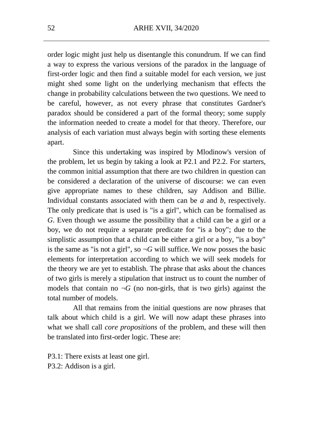order logic might just help us disentangle this conundrum. If we can find a way to express the various versions of the paradox in the language of first-order logic and then find a suitable model for each version, we just might shed some light on the underlying mechanism that effects the change in probability calculations between the two questions. We need to be careful, however, as not every phrase that constitutes Gardner's paradox should be considered a part of the formal theory; some supply the information needed to create a model for that theory. Therefore, our analysis of each variation must always begin with sorting these elements apart.

Since this undertaking was inspired by Mlodinow's version of the problem, let us begin by taking a look at P2.1 and P2.2. For starters, the common initial assumption that there are two children in question can be considered a declaration of the universe of discourse: we can even give appropriate names to these children, say Addison and Billie. Individual constants associated with them can be *a* and *b*, respectively. The only predicate that is used is "is a girl", which can be formalised as *G*. Even though we assume the possibility that a child can be a girl or a boy, we do not require a separate predicate for "is a boy"; due to the simplistic assumption that a child can be either a girl or a boy, "is a boy" is the same as "is not a girl", so  $\neg G$  will suffice. We now posses the basic elements for interpretation according to which we will seek models for the theory we are yet to establish. The phrase that asks about the chances of two girls is merely a stipulation that instruct us to count the number of models that contain no  $\neg G$  (no non-girls, that is two girls) against the total number of models.

All that remains from the initial questions are now phrases that talk about which child is a girl. We will now adapt these phrases into what we shall call *core propositions* of the problem, and these will then be translated into first-order logic. These are:

P3.1: There exists at least one girl. P3.2: Addison is a girl.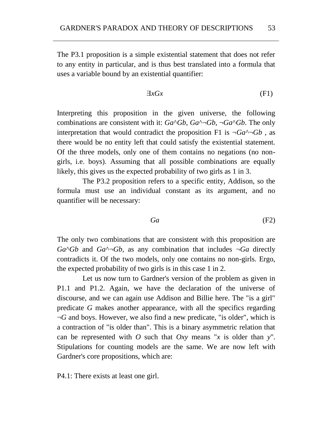The P3.1 proposition is a simple existential statement that does not refer to any entity in particular, and is thus best translated into a formula that uses a variable bound by an existential quantifier:

$$
\exists x Gx \tag{F1}
$$

Interpreting this proposition in the given universe, the following combinations are consistent with it:  $Ga^{\wedge}Gb$ ,  $Ga^{\wedge}(\neg Gb)$ ,  $\neg Ga^{\wedge}Gb$ . The only interpretation that would contradict the proposition F1 is  $\neg Ga \rightarrow Gb$ , as there would be no entity left that could satisfy the existential statement. Of the three models, only one of them contains no negations (no nongirls, i.e. boys). Assuming that all possible combinations are equally likely, this gives us the expected probability of two girls as 1 in 3.

The P3.2 proposition refers to a specific entity, Addison, so the formula must use an individual constant as its argument, and no quantifier will be necessary:

$$
Ga \qquad \qquad (F2)
$$

The only two combinations that are consistent with this proposition are  $Ga<sup>\wedge</sup>Gb$  and  $Ga<sup>\wedge</sup>¬Gb$ , as any combination that includes  $\neg Ga$  directly contradicts it. Of the two models, only one contains no non-girls. Ergo, the expected probability of two girls is in this case 1 in 2.

Let us now turn to Gardner's version of the problem as given in P1.1 and P1.2. Again, we have the declaration of the universe of discourse, and we can again use Addison and Billie here. The "is a girl" predicate *G* makes another appearance, with all the specifics regarding ¬*G* and boys. However, we also find a new predicate, "is older", which is a contraction of "is older than". This is a binary asymmetric relation that can be represented with *O* such that *Oxy* means "*x* is older than  $y$ ". Stipulations for counting models are the same. We are now left with Gardner's core propositions, which are:

P4.1: There exists at least one girl.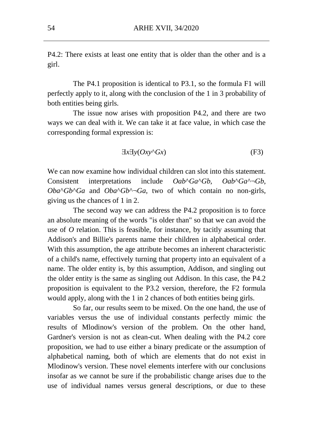P4.2: There exists at least one entity that is older than the other and is a girl.

The P4.1 proposition is identical to P3.1, so the formula F1 will perfectly apply to it, along with the conclusion of the 1 in 3 probability of both entities being girls.

The issue now arises with proposition P4.2, and there are two ways we can deal with it. We can take it at face value, in which case the corresponding formal expression is:

$$
\exists x \exists y (Oxy \land Gx) \tag{F3}
$$

We can now examine how individual children can slot into this statement. Consistent interpretations include *Oab*^*Ga*^*Gb*, *Oab*^*Ga*^¬*Gb*,  $Oba<sup>^</sup>Gb<sup>^</sup>Ga$  and  $Oba<sup>^</sup>Gb<sup>^</sup>$ <sup> $-$ </sup> $Ga$ , two of which contain no non-girls, giving us the chances of 1 in 2.

The second way we can address the P4.2 proposition is to force an absolute meaning of the words "is older than" so that we can avoid the use of *O* relation. This is feasible, for instance, by tacitly assuming that Addison's and Billie's parents name their children in alphabetical order. With this assumption, the age attribute becomes an inherent characteristic of a child's name, effectively turning that property into an equivalent of a name. The older entity is, by this assumption, Addison, and singling out the older entity is the same as singling out Addison. In this case, the P4.2 proposition is equivalent to the P3.2 version, therefore, the F2 formula would apply, along with the 1 in 2 chances of both entities being girls.

So far, our results seem to be mixed. On the one hand, the use of variables versus the use of individual constants perfectly mimic the results of Mlodinow's version of the problem. On the other hand, Gardner's version is not as clean-cut. When dealing with the P4.2 core proposition, we had to use either a binary predicate or the assumption of alphabetical naming, both of which are elements that do not exist in Mlodinow's version. These novel elements interfere with our conclusions insofar as we cannot be sure if the probabilistic change arises due to the use of individual names versus general descriptions, or due to these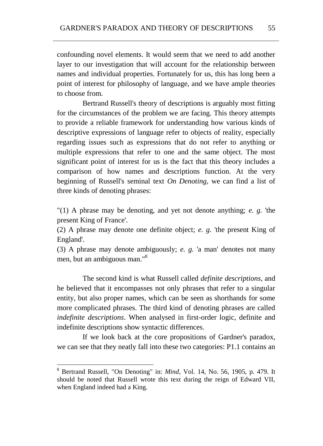confounding novel elements. It would seem that we need to add another layer to our investigation that will account for the relationship between names and individual properties. Fortunately for us, this has long been a point of interest for philosophy of language, and we have ample theories to choose from.

Bertrand Russell's theory of descriptions is arguably most fitting for the circumstances of the problem we are facing. This theory attempts to provide a reliable framework for understanding how various kinds of descriptive expressions of language refer to objects of reality, especially regarding issues such as expressions that do not refer to anything or multiple expressions that refer to one and the same object. The most significant point of interest for us is the fact that this theory includes a comparison of how names and descriptions function. At the very beginning of Russell's seminal text *On Denoting*, we can find a list of three kinds of denoting phrases:

"(1) A phrase may be denoting, and yet not denote anything; *e. g.* 'the present King of France'.

(2) A phrase may denote one definite object; *e. g.* 'the present King of England'.

(3) A phrase may denote ambiguously; *e. g.* 'a man' denotes not many men, but an ambiguous man."<sup>8</sup>

The second kind is what Russell called *definite descriptions*, and he believed that it encompasses not only phrases that refer to a singular entity, but also proper names, which can be seen as shorthands for some more complicated phrases. The third kind of denoting phrases are called *indefinite descriptions*. When analysed in first-order logic, definite and indefinite descriptions show syntactic differences.

If we look back at the core propositions of Gardner's paradox, we can see that they neatly fall into these two categories: P1.1 contains an

<sup>&</sup>lt;sup>8</sup> Bertrand Russell, "On Denoting" in: *Mind*, Vol. 14, No. 56, 1905, p. 479. It should be noted that Russell wrote this text during the reign of Edward VII, when England indeed had a King.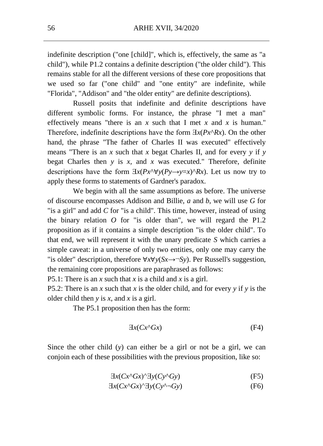indefinite description ("one [child]", which is, effectively, the same as "a child"), while P1.2 contains a definite description ("the older child"). This remains stable for all the different versions of these core propositions that we used so far ("one child" and "one entity" are indefinite, while "Florida", "Addison" and "the older entity" are definite descriptions).

Russell posits that indefinite and definite descriptions have different symbolic forms. For instance, the phrase "I met a man" effectively means "there is an *x* such that I met *x* and *x* is human." Therefore, indefinite descriptions have the form  $\exists x(Px^{\wedge}Rx)$ . On the other hand, the phrase "The father of Charles II was executed" effectively means "There is an *x* such that *x* begat Charles II, and for every *y* if *y*  begat Charles then *y* is *x,* and *x* was executed." Therefore, definite descriptions have the form  $\exists x (Px \land \forall y (Py \rightarrow y=x) \land Rx)$ . Let us now try to apply these forms to statements of Gardner's paradox.

We begin with all the same assumptions as before. The universe of discourse encompasses Addison and Billie, *a* and *b*, we will use *G* for "is a girl" and add *C* for "is a child". This time, however, instead of using the binary relation *O* for "is older than", we will regard the P1.2 proposition as if it contains a simple description "is the older child". To that end, we will represent it with the unary predicate *S* which carries a simple caveat: in a universe of only two entities, only one may carry the "is older" description, therefore ∀*x*∀*y*(*Sx*→¬*Sy*). Per Russell's suggestion, the remaining core propositions are paraphrased as follows:

P5.1: There is an *x* such that *x* is a child and *x* is a girl.

P5.2: There is an *x* such that *x* is the older child, and for every *y* if *y* is the older child then *y* is *x*, and *x* is a girl.

The P5.1 proposition then has the form:

$$
\exists x (Cx^{\wedge}Gx) \tag{F4}
$$

Since the other child (*y*) can either be a girl or not be a girl, we can conjoin each of these possibilities with the previous proposition, like so:

$$
\exists x (Cx \land Gx) \land \exists y (Cy \land Gy) \tag{F5}
$$

$$
\exists x (Cx \land Gx) \land \exists y (Cy \land \neg Gy) \tag{F6}
$$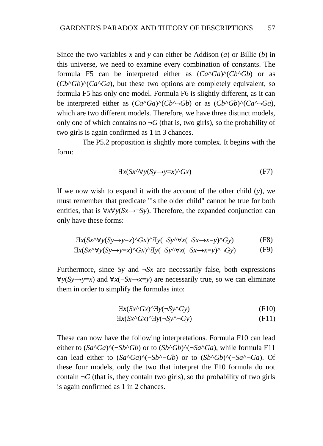Since the two variables *x* and *y* can either be Addison (*a*) or Billie (*b*) in this universe, we need to examine every combination of constants. The formula F5 can be interpreted either as  $(Ca^{\wedge}Ga)^{\wedge}(Cb^{\wedge}Gb)$  or as  $(Cb^{\wedge}Gb)^{\wedge} (Ca^{\wedge}Ga)$ , but these two options are completely equivalent, so formula F5 has only one model. Formula F6 is slightly different, as it can be interpreted either as  $(Ca^{\wedge}Ga)^{\wedge}(Cb^{\wedge}\neg Gb)$  or as  $(Cb^{\wedge}Gb)^{\wedge}(Ca^{\wedge}\neg Ga)$ , which are two different models. Therefore, we have three distinct models, only one of which contains no  $\neg G$  (that is, two girls), so the probability of two girls is again confirmed as 1 in 3 chances.

The P5.2 proposition is slightly more complex. It begins with the form:

$$
\exists x (Sx \land \forall y (Sy \to y=x) \land Gx) \tag{F7}
$$

If we now wish to expand it with the account of the other child (*y*), we must remember that predicate "is the older child" cannot be true for both entities, that is ∀*x*∀*y*(*Sx*→¬*Sy*). Therefore, the expanded conjunction can only have these forms:

$$
\exists x (Sx \land \forall y (Sy \to y=x) \land Gx) \land \exists y (\neg Sy \land \forall x (\neg Sx \to x=y) \land Gy)
$$
 (F8)

$$
\exists x (Sx \land \forall y (Sy \to y=x) \land Gx) \land \exists y (\neg Sy \land \forall x (\neg Sx \to x=y) \land \neg Gy) \tag{F9}
$$

Furthermore, since *Sy* and  $\neg S_x$  are necessarily false, both expressions  $∀y(Sy→y=x)$  and  $∀x(¬Sx→x=y)$  are necessarily true, so we can eliminate them in order to simplify the formulas into:

$$
\exists x (Sx \land Gx) \land \exists y (\neg Sy \land Gy) \tag{F10}
$$

$$
\exists x (Sx \land Gx) \land \exists y (\neg Sy \land \neg Gy) \tag{F11}
$$

These can now have the following interpretations. Formula F10 can lead either to  $(Sa^{\wedge}Ga)^{\wedge}(\neg Sb^{\wedge}Gb)$  or to  $(Sb^{\wedge}Gb)^{\wedge}(\neg Sa^{\wedge}Ga)$ , while formula F11 can lead either to  $(Sa^{\wedge}Ga)^{\wedge}(\neg Sb^{\wedge} \neg Gb)$  or to  $(Sb^{\wedge}Gb)^{\wedge}(\neg Sa^{\wedge} \neg Ga)$ . Of these four models, only the two that interpret the F10 formula do not contain  $\neg G$  (that is, they contain two girls), so the probability of two girls is again confirmed as 1 in 2 chances.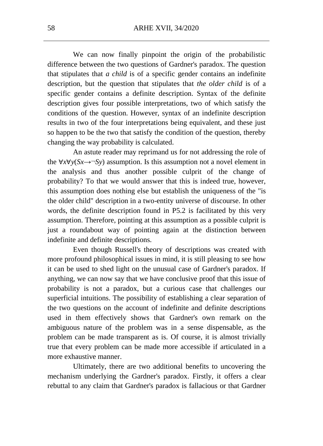We can now finally pinpoint the origin of the probabilistic difference between the two questions of Gardner's paradox. The question that stipulates that *a child* is of a specific gender contains an indefinite description, but the question that stipulates that *the older child* is of a specific gender contains a definite description. Syntax of the definite description gives four possible interpretations, two of which satisfy the conditions of the question. However, syntax of an indefinite description results in two of the four interpretations being equivalent, and these just so happen to be the two that satisfy the condition of the question, thereby changing the way probability is calculated.

An astute reader may reprimand us for not addressing the role of the  $\forall x \forall y (Sx \rightarrow Sy)$  assumption. Is this assumption not a novel element in the analysis and thus another possible culprit of the change of probability? To that we would answer that this is indeed true, however, this assumption does nothing else but establish the uniqueness of the "is the older child" description in a two-entity universe of discourse. In other words, the definite description found in P5.2 is facilitated by this very assumption. Therefore, pointing at this assumption as a possible culprit is just a roundabout way of pointing again at the distinction between indefinite and definite descriptions*.*

Even though Russell's theory of descriptions was created with more profound philosophical issues in mind, it is still pleasing to see how it can be used to shed light on the unusual case of Gardner's paradox. If anything, we can now say that we have conclusive proof that this issue of probability is not a paradox, but a curious case that challenges our superficial intuitions. The possibility of establishing a clear separation of the two questions on the account of indefinite and definite descriptions used in them effectively shows that Gardner's own remark on the ambiguous nature of the problem was in a sense dispensable, as the problem can be made transparent as is. Of course, it is almost trivially true that every problem can be made more accessible if articulated in a more exhaustive manner.

Ultimately, there are two additional benefits to uncovering the mechanism underlying the Gardner's paradox. Firstly, it offers a clear rebuttal to any claim that Gardner's paradox is fallacious or that Gardner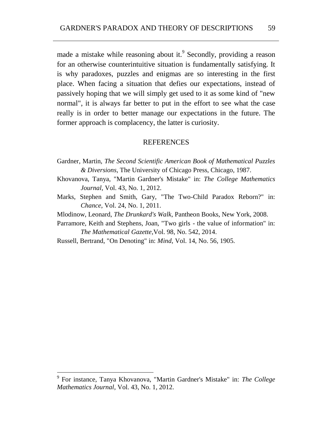made a mistake while reasoning about it.<sup>9</sup> Secondly, providing a reason for an otherwise counterintuitive situation is fundamentally satisfying. It is why paradoxes, puzzles and enigmas are so interesting in the first place. When facing a situation that defies our expectations, instead of passively hoping that we will simply get used to it as some kind of "new normal", it is always far better to put in the effort to see what the case really is in order to better manage our expectations in the future. The former approach is complacency, the latter is curiosity.

#### **REFERENCES**

- Gardner, Martin, *The Second Scientific American Book of Mathematical Puzzles & Diversions*, The University of Chicago Press, Chicago, 1987.
- Khovanova, Tanya, "Martin Gardner's Mistake" in: *The College Mathematics Journal*, Vol. 43, No. 1, 2012.
- Marks, Stephen and Smith, Gary, "The Two-Child Paradox Reborn?" in: *Chance*, Vol. 24, No. 1, 2011.
- Mlodinow, Leonard, *The Drunkard's Walk*, Pantheon Books, New York, 2008.
- Parramore, Keith and Stephens, Joan, "Two girls the value of information" in: *The Mathematical Gazette*,Vol. 98, No. 542, 2014.
- Russell, Bertrand, "On Denoting" in: *Mind*, Vol. 14, No. 56, 1905.

 $\overline{\phantom{a}}$ 

<sup>9</sup> For instance, Tanya Khovanova, "Martin Gardner's Mistake" in: *The College Mathematics Journal*, Vol. 43, No. 1, 2012.